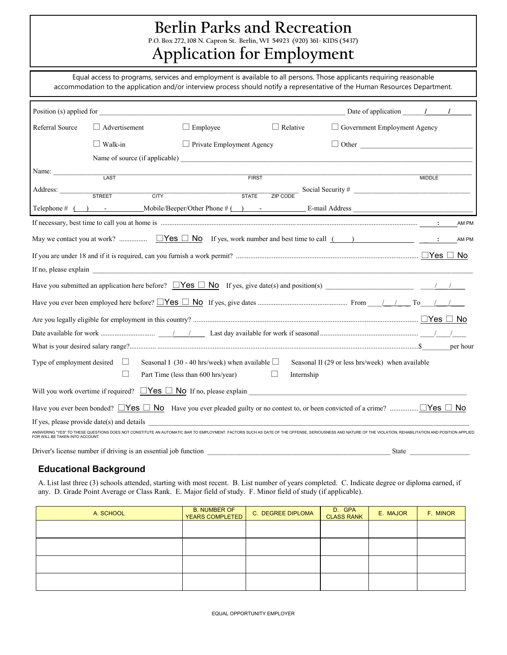# **Berlin Parks and Recreation**

**P.O. Box 272, 108 N. Capron St. Berlin, WI 54923 (920) 361- KIDS (5437)**

# **Application for Employment**

Equal access to programs, services and employment is available to all persons. Those applicants requiring reasonable accommodation to the application and/or interview process should notify a representative of the Human Resources Department.

|                                                                                                                                                                                                                                                                                 | Position (s) applied for                                                                           |                                                     |                 | Date of application $I$ $I$ $I$                  |               |       |
|---------------------------------------------------------------------------------------------------------------------------------------------------------------------------------------------------------------------------------------------------------------------------------|----------------------------------------------------------------------------------------------------|-----------------------------------------------------|-----------------|--------------------------------------------------|---------------|-------|
| Referral Source                                                                                                                                                                                                                                                                 | $\Box$ Advertisement                                                                               | $\Box$ Employee                                     | $\Box$ Relative | $\Box$ Government Employment Agency              |               |       |
|                                                                                                                                                                                                                                                                                 | $\Box$ Walk-in                                                                                     | $\Box$ Private Employment Agency                    |                 | $\Box$ Other                                     |               |       |
|                                                                                                                                                                                                                                                                                 |                                                                                                    |                                                     |                 |                                                  |               |       |
| Name:                                                                                                                                                                                                                                                                           | LAST                                                                                               | <b>FIRST</b>                                        |                 |                                                  | <b>MIDDLE</b> |       |
| Address: STREET                                                                                                                                                                                                                                                                 | <b>CITY</b>                                                                                        | <b>STATE</b>                                        |                 |                                                  |               |       |
|                                                                                                                                                                                                                                                                                 | Telephone # ( ) Mobile/Beeper/Other Phone # ( ) - E-mail Address E-mail Address                    |                                                     |                 |                                                  |               |       |
|                                                                                                                                                                                                                                                                                 |                                                                                                    |                                                     |                 |                                                  |               | AM PM |
|                                                                                                                                                                                                                                                                                 | May we contact you at work? $\Box$ Yes $\Box$ No If yes, work number and best time to call $($ $)$ |                                                     |                 |                                                  |               |       |
|                                                                                                                                                                                                                                                                                 |                                                                                                    |                                                     |                 |                                                  |               |       |
|                                                                                                                                                                                                                                                                                 |                                                                                                    |                                                     |                 |                                                  |               |       |
|                                                                                                                                                                                                                                                                                 |                                                                                                    |                                                     |                 |                                                  |               |       |
|                                                                                                                                                                                                                                                                                 |                                                                                                    |                                                     |                 |                                                  |               |       |
|                                                                                                                                                                                                                                                                                 |                                                                                                    |                                                     |                 |                                                  |               |       |
|                                                                                                                                                                                                                                                                                 |                                                                                                    |                                                     |                 |                                                  |               |       |
|                                                                                                                                                                                                                                                                                 |                                                                                                    |                                                     |                 |                                                  |               |       |
| Type of employment desired $\Box$                                                                                                                                                                                                                                               |                                                                                                    | Seasonal I (30 - 40 hrs/week) when available $\Box$ |                 | Seasonal II (29 or less hrs/week) when available |               |       |
|                                                                                                                                                                                                                                                                                 | $\Box$                                                                                             | Part Time (less than 600 hrs/year)                  | Internship      |                                                  |               |       |
|                                                                                                                                                                                                                                                                                 | Will you work overtime if required? $\Box$ Yes $\Box$ No If no, please explain $\Box$              |                                                     |                 |                                                  |               |       |
|                                                                                                                                                                                                                                                                                 |                                                                                                    |                                                     |                 |                                                  |               |       |
| If yes, please provide date(s) and details<br>ANSWERING "YES" TO THESE QUESTIONS DOES NOT CONSTITUTE AN AUTOMATIC BAR TO EMPLOYMENT. FACTORS SUCH AS DATE OF THE OFFENSE, SERIOUSNESS AND NATURE OF THE VIOLATION, REHABILITATION AND POSITION APPLIEI<br>FOR WILL BE TAKEN INT |                                                                                                    |                                                     |                 |                                                  |               |       |
|                                                                                                                                                                                                                                                                                 |                                                                                                    |                                                     |                 |                                                  |               |       |

Driver's license number if driving is an essential job function \_\_\_\_\_\_\_\_\_\_\_\_\_\_\_\_\_\_\_\_\_\_\_\_\_\_\_\_\_\_\_\_\_\_\_\_\_\_\_\_\_\_\_\_\_\_\_\_\_\_\_\_ State \_\_\_\_\_\_\_\_\_\_\_\_\_\_\_\_\_

#### **Educational Background**

A. List last three (3) schools attended, starting with most recent. B. List number of years completed. C. Indicate degree or diploma earned, if any. D. Grade Point Average or Class Rank. E. Major field of study. F. Minor field of study (if applicable).

| A. SCHOOL | <b>B. NUMBER OF</b><br>YEARS COMPLETED | C. DEGREE DIPLOMA | D. GPA<br><b>CLASS RANK</b> | E. MAJOR | F. MINOR |
|-----------|----------------------------------------|-------------------|-----------------------------|----------|----------|
|           |                                        |                   |                             |          |          |
|           |                                        |                   |                             |          |          |
|           |                                        |                   |                             |          |          |
|           |                                        |                   |                             |          |          |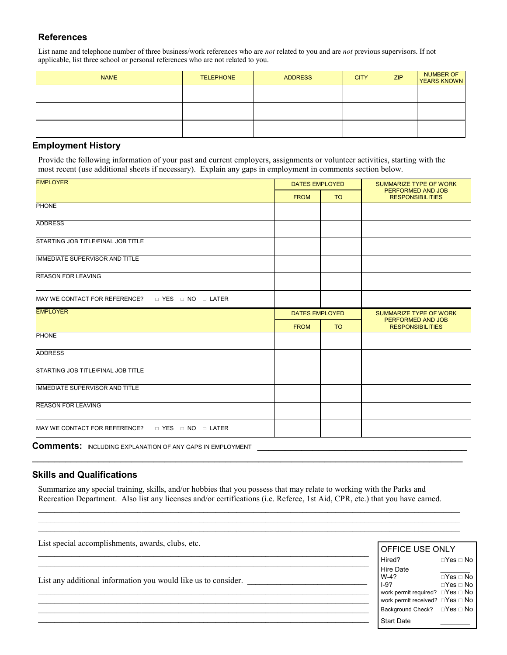#### **References**

List name and telephone number of three business/work references who are *not* related to you and are *not* previous supervisors. If not applicable, list three school or personal references who are not related to you.

| <b>NAME</b> | <b>TELEPHONE</b> | <b>ADDRESS</b> | <b>CITY</b> | ZIP | NUMBER OF<br>YEARS KNOWN |
|-------------|------------------|----------------|-------------|-----|--------------------------|
|             |                  |                |             |     |                          |
|             |                  |                |             |     |                          |
|             |                  |                |             |     |                          |
|             |                  |                |             |     |                          |

#### **Employment History**

Provide the following information of your past and current employers, assignments or volunteer activities, starting with the most recent (use additional sheets if necessary). Explain any gaps in employment in comments section below.

| <b>EMPLOYER</b>                                                 |                       | <b>DATES EMPLOYED</b> | <b>SUMMARIZE TYPE OF WORK</b><br>PERFORMED AND JOB |  |
|-----------------------------------------------------------------|-----------------------|-----------------------|----------------------------------------------------|--|
|                                                                 | <b>FROM</b>           | <b>TO</b>             | <b>RESPONSIBILITIES</b>                            |  |
| <b>PHONE</b>                                                    |                       |                       |                                                    |  |
| <b>ADDRESS</b>                                                  |                       |                       |                                                    |  |
| STARTING JOB TITLE/FINAL JOB TITLE                              |                       |                       |                                                    |  |
| <b>IMMEDIATE SUPERVISOR AND TITLE</b>                           |                       |                       |                                                    |  |
| <b>REASON FOR LEAVING</b>                                       |                       |                       |                                                    |  |
| MAY WE CONTACT FOR REFERENCE? $\Box$ YES $\Box$ NO $\Box$ LATER |                       |                       |                                                    |  |
| <b>EMPLOYER</b>                                                 | <b>DATES EMPLOYED</b> |                       | SUMMARIZE TYPE OF WORK                             |  |
|                                                                 |                       |                       |                                                    |  |
|                                                                 | <b>FROM</b>           | <b>TO</b>             | PERFORMED AND JOB<br><b>RESPONSIBILITIES</b>       |  |
| <b>PHONE</b>                                                    |                       |                       |                                                    |  |
| <b>ADDRESS</b>                                                  |                       |                       |                                                    |  |
| STARTING JOB TITLE/FINAL JOB TITLE                              |                       |                       |                                                    |  |
| <b>IMMEDIATE SUPERVISOR AND TITLE</b>                           |                       |                       |                                                    |  |
| <b>REASON FOR LEAVING</b>                                       |                       |                       |                                                    |  |

Comments: INCLUDING EXPLANATION OF ANY GAPS IN EMPLOYMENT

#### **Skills and Qualifications**

Summarize any special training, skills, and/or hobbies that you possess that may relate to working with the Parks and Recreation Department. Also list any licenses and/or certifications (i.e. Referee, 1st Aid, CPR, etc.) that you have earned.

 $\mathcal{L}_\text{max}$ 

 $\mathcal{L}_\text{max}$ 

 $\_$  , and the set of the set of the set of the set of the set of the set of the set of the set of the set of the set of the set of the set of the set of the set of the set of the set of the set of the set of the set of th  $\mathcal{L}_\text{max}$ 

 $\_$ 

 $\_$  , and the set of the set of the set of the set of the set of the set of the set of the set of the set of the set of the set of the set of the set of the set of the set of the set of the set of the set of the set of th

List special accomplishments, awards, clubs, etc.

List any additional information you would like us to consider.